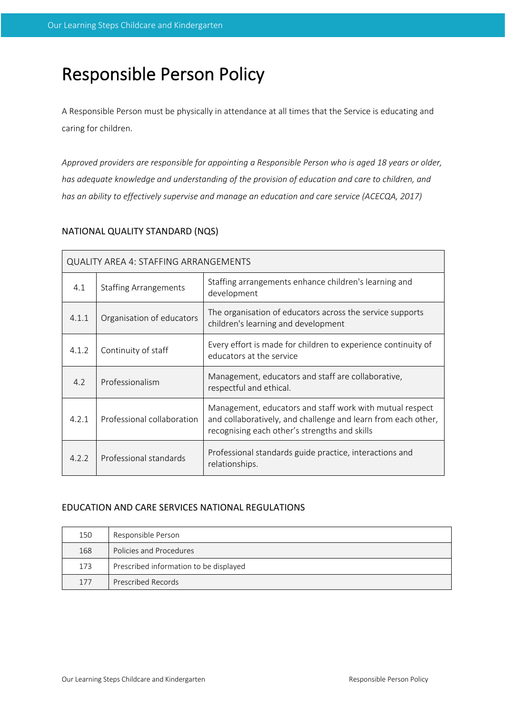# Responsible Person Policy

A Responsible Person must be physically in attendance at all times that the Service is educating and caring for children.

*Approved providers are responsible for appointing a Responsible Person who is aged 18 years or older, has adequate knowledge and understanding of the provision of education and care to children, and has an ability to effectively supervise and manage an education and care service (ACECQA, 2017)*

# NATIONAL QUALITY STANDARD (NQS)

| <b>QUALITY AREA 4: STAFFING ARRANGEMENTS</b> |                              |                                                                                                                                                                            |  |  |  |
|----------------------------------------------|------------------------------|----------------------------------------------------------------------------------------------------------------------------------------------------------------------------|--|--|--|
| 4.1                                          | <b>Staffing Arrangements</b> | Staffing arrangements enhance children's learning and<br>development                                                                                                       |  |  |  |
| 4.1.1                                        | Organisation of educators    | The organisation of educators across the service supports<br>children's learning and development                                                                           |  |  |  |
| 4.1.2                                        | Continuity of staff          | Every effort is made for children to experience continuity of<br>educators at the service                                                                                  |  |  |  |
| 4.2                                          | Professionalism              | Management, educators and staff are collaborative,<br>respectful and ethical.                                                                                              |  |  |  |
| 4.2.1                                        | Professional collaboration   | Management, educators and staff work with mutual respect<br>and collaboratively, and challenge and learn from each other,<br>recognising each other's strengths and skills |  |  |  |
| 4.2.2                                        | Professional standards       | Professional standards guide practice, interactions and<br>relationships.                                                                                                  |  |  |  |

## EDUCATION AND CARE SERVICES NATIONAL REGULATIONS

| 150 | Responsible Person                     |
|-----|----------------------------------------|
| 168 | Policies and Procedures                |
| 173 | Prescribed information to be displayed |
| 177 | Prescribed Records                     |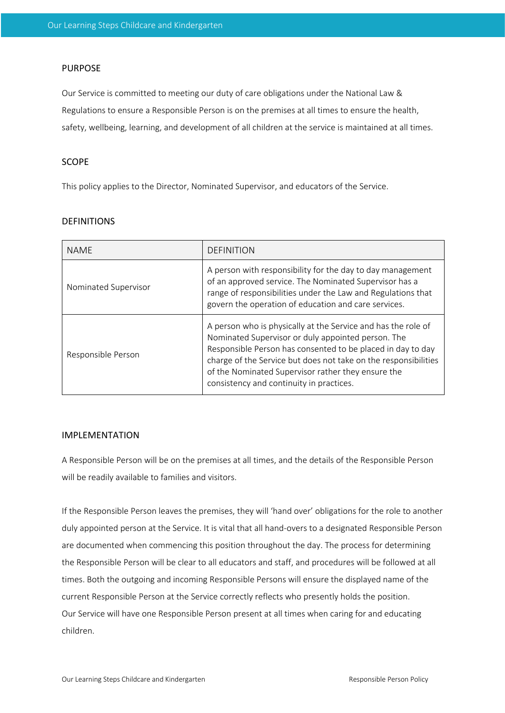## PURPOSE

Our Service is committed to meeting our duty of care obligations under the National Law & Regulations to ensure a Responsible Person is on the premises at all times to ensure the health, safety, wellbeing, learning, and development of all children at the service is maintained at all times.

#### SCOPE

This policy applies to the Director, Nominated Supervisor, and educators of the Service.

## DEFINITIONS

| <b>NAMF</b>          | <b>DEFINITION</b>                                                                                                                                                                                                                                                                                                                                       |  |
|----------------------|---------------------------------------------------------------------------------------------------------------------------------------------------------------------------------------------------------------------------------------------------------------------------------------------------------------------------------------------------------|--|
| Nominated Supervisor | A person with responsibility for the day to day management<br>of an approved service. The Nominated Supervisor has a<br>range of responsibilities under the Law and Regulations that<br>govern the operation of education and care services.                                                                                                            |  |
| Responsible Person   | A person who is physically at the Service and has the role of<br>Nominated Supervisor or duly appointed person. The<br>Responsible Person has consented to be placed in day to day<br>charge of the Service but does not take on the responsibilities<br>of the Nominated Supervisor rather they ensure the<br>consistency and continuity in practices. |  |

## IMPLEMENTATION

A Responsible Person will be on the premises at all times, and the details of the Responsible Person will be readily available to families and visitors.

If the Responsible Person leaves the premises, they will 'hand over' obligations for the role to another duly appointed person at the Service. It is vital that all hand-overs to a designated Responsible Person are documented when commencing this position throughout the day. The process for determining the Responsible Person will be clear to all educators and staff, and procedures will be followed at all times. Both the outgoing and incoming Responsible Persons will ensure the displayed name of the current Responsible Person at the Service correctly reflects who presently holds the position. Our Service will have one Responsible Person present at all times when caring for and educating children.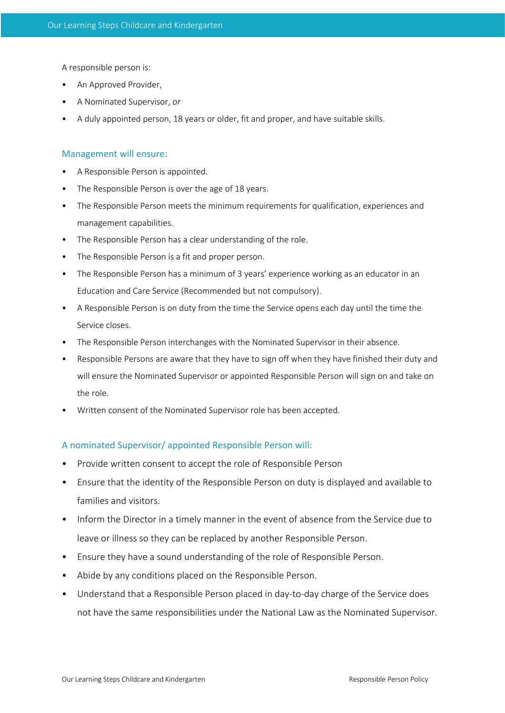A responsible person is:

- An Approved Provider,
- A Nominated Supervisor, *or*
- A duly appointed person, 18 years or older, fit and proper, and have suitable skills.

#### Management will ensure:

- A Responsible Person is appointed.
- The Responsible Person is over the age of 18 years.
- The Responsible Person meets the minimum requirements for qualification, experiences and management capabilities.
- The Responsible Person has a clear understanding of the role.
- The Responsible Person is a fit and proper person.
- The Responsible Person has a minimum of 3 years' experience working as an educator in an Education and Care Service (Recommended but not compulsory).
- A Responsible Person is on duty from the time the Service opens each day until the time the Service closes.
- The Responsible Person interchanges with the Nominated Supervisor in their absence.
- Responsible Persons are aware that they have to sign off when they have finished their duty and will ensure the Nominated Supervisor or appointed Responsible Person will sign on and take on the role.
- Written consent of the Nominated Supervisor role has been accepted.

#### A nominated Supervisor/ appointed Responsible Person will:

- Provide written consent to accept the role of Responsible Person
- Ensure that the identity of the Responsible Person on duty is displayed and available to families and visitors.
- Inform the Director in a timely manner in the event of absence from the Service due to leave or illness so they can be replaced by another Responsible Person.
- Ensure they have a sound understanding of the role of Responsible Person.
- Abide by any conditions placed on the Responsible Person.
- Understand that a Responsible Person placed in day-to-day charge of the Service does not have the same responsibilities under the National Law as the Nominated Supervisor.